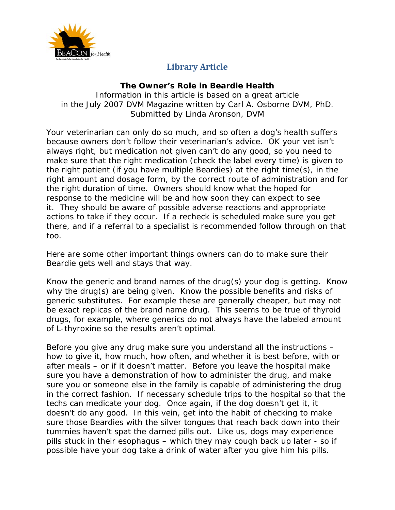

## **Library Article**

## **The Owner's Role in Beardie Health**

*Information in this article is based on a great article in the July 2007 DVM Magazine written by Carl A. Osborne DVM, PhD.*  Submitted by Linda Aronson, DVM

Your veterinarian can only do so much, and so often a dog's health suffers because owners don't follow their veterinarian's advice. OK your vet isn't always right, but medication not given can't do any good, so you need to make sure that the right medication (check the label every time) is given to the right patient (if you have multiple Beardies) at the right time(s), in the right amount and dosage form, by the correct route of administration and for the right duration of time. Owners should know what the hoped for response to the medicine will be and how soon they can expect to see it. They should be aware of possible adverse reactions and appropriate actions to take if they occur. If a recheck is scheduled make sure you get there, and if a referral to a specialist is recommended follow through on that too.

Here are some other important things owners can do to make sure their Beardie gets well and stays that way.

Know the generic and brand names of the drug(s) your dog is getting. Know why the drug(s) are being given. Know the possible benefits and risks of generic substitutes. For example these are generally cheaper, but may not be exact replicas of the brand name drug. This seems to be true of thyroid drugs, for example, where generics do not always have the labeled amount of L-thyroxine so the results aren't optimal.

Before you give any drug make sure you understand all the instructions – how to give it, how much, how often, and whether it is best before, with or after meals – or if it doesn't matter. Before you leave the hospital make sure you have a demonstration of how to administer the drug, and make sure you or someone else in the family is capable of administering the drug in the correct fashion. If necessary schedule trips to the hospital so that the techs can medicate your dog. Once again, if the dog doesn't get it, it doesn't do any good. In this vein, get into the habit of checking to make sure those Beardies with the silver tongues that reach back down into their tummies haven't spat the darned pills out. Like us, dogs may experience pills stuck in their esophagus – which they may cough back up later - so if possible have your dog take a drink of water after you give him his pills.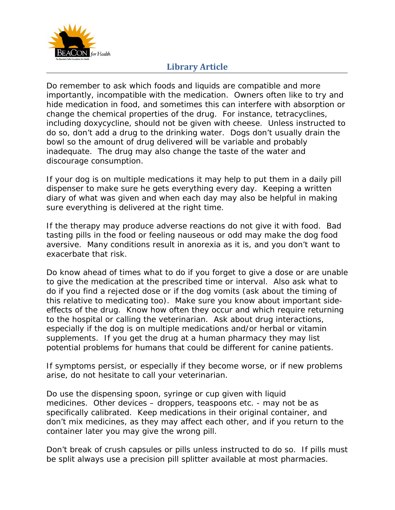

## **Library Article**

Do remember to ask which foods and liquids are compatible and more importantly, incompatible with the medication. Owners often like to try and hide medication in food, and sometimes this can interfere with absorption or change the chemical properties of the drug. For instance, tetracyclines, including doxycycline, should not be given with cheese. Unless instructed to do so, don't add a drug to the drinking water. Dogs don't usually drain the bowl so the amount of drug delivered will be variable and probably inadequate. The drug may also change the taste of the water and discourage consumption.

If your dog is on multiple medications it may help to put them in a daily pill dispenser to make sure he gets everything every day. Keeping a written diary of what was given and when each day may also be helpful in making sure everything is delivered at the right time.

If the therapy may produce adverse reactions do not give it with food. Bad tasting pills in the food or feeling nauseous or odd may make the dog food aversive. Many conditions result in anorexia as it is, and you don't want to exacerbate that risk.

Do know ahead of times what to do if you forget to give a dose or are unable to give the medication at the prescribed time or interval. Also ask what to do if you find a rejected dose or if the dog vomits (ask about the timing of this relative to medicating too). Make sure you know about important sideeffects of the drug. Know how often they occur and which require returning to the hospital or calling the veterinarian. Ask about drug interactions, especially if the dog is on multiple medications and/or herbal or vitamin supplements. If you get the drug at a human pharmacy they may list potential problems for humans that could be different for canine patients.

If symptoms persist, or especially if they become worse, or if new problems arise, do not hesitate to call your veterinarian.

Do use the dispensing spoon, syringe or cup given with liquid medicines. Other devices – droppers, teaspoons etc. - may not be as specifically calibrated. Keep medications in their original container, and don't mix medicines, as they may affect each other, and if you return to the container later you may give the wrong pill.

Don't break of crush capsules or pills unless instructed to do so. If pills must be split always use a precision pill splitter available at most pharmacies.